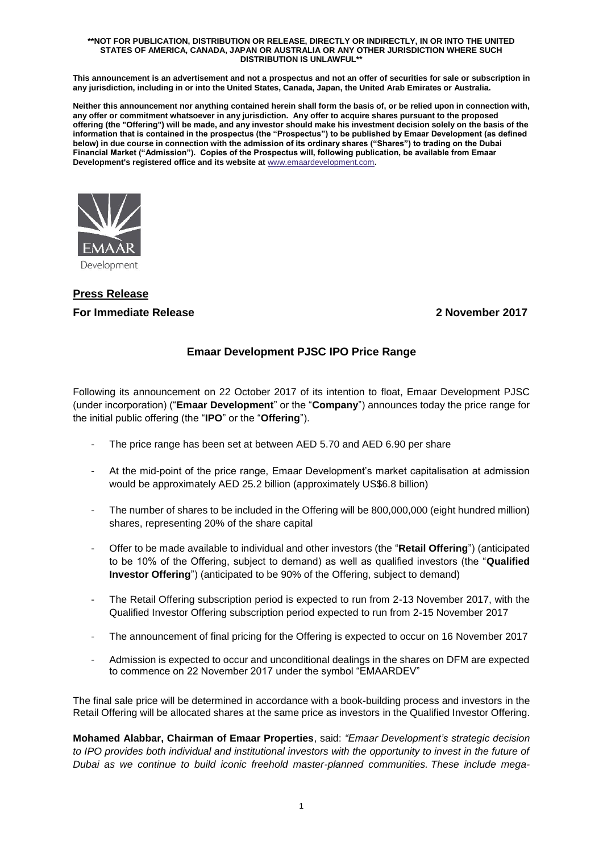#### **\*\*NOT FOR PUBLICATION, DISTRIBUTION OR RELEASE, DIRECTLY OR INDIRECTLY, IN OR INTO THE UNITED STATES OF AMERICA, CANADA, JAPAN OR AUSTRALIA OR ANY OTHER JURISDICTION WHERE SUCH DISTRIBUTION IS UNLAWFUL\*\***

**This announcement is an advertisement and not a prospectus and not an offer of securities for sale or subscription in any jurisdiction, including in or into the United States, Canada, Japan, the United Arab Emirates or Australia.**

**Neither this announcement nor anything contained herein shall form the basis of, or be relied upon in connection with, any offer or commitment whatsoever in any jurisdiction. Any offer to acquire shares pursuant to the proposed offering (the "Offering") will be made, and any investor should make his investment decision solely on the basis of the information that is contained in the prospectus (the "Prospectus") to be published by Emaar Development (as defined below) in due course in connection with the admission of its ordinary shares ("Shares") to trading on the Dubai Financial Market ("Admission"). Copies of the Prospectus will, following publication, be available from Emaar Development's registered office and its website at** [www.emaardevelopment.com](http://www.emaardevelopment.com/)**.**



# **Press Release For Immediate Release 2 November 2017**

## **Emaar Development PJSC IPO Price Range**

Following its announcement on 22 October 2017 of its intention to float, Emaar Development PJSC (under incorporation) ("**Emaar Development**" or the "**Company**") announces today the price range for the initial public offering (the "**IPO**" or the "**Offering**").

- The price range has been set at between AED 5.70 and AED 6.90 per share
- At the mid-point of the price range, Emaar Development's market capitalisation at admission would be approximately AED 25.2 billion (approximately US\$6.8 billion)
- The number of shares to be included in the Offering will be 800,000,000 (eight hundred million) shares, representing 20% of the share capital
- Offer to be made available to individual and other investors (the "**Retail Offering**") (anticipated to be 10% of the Offering, subject to demand) as well as qualified investors (the "**Qualified Investor Offering**") (anticipated to be 90% of the Offering, subject to demand)
- The Retail Offering subscription period is expected to run from 2-13 November 2017, with the Qualified Investor Offering subscription period expected to run from 2-15 November 2017
- The announcement of final pricing for the Offering is expected to occur on 16 November 2017
- Admission is expected to occur and unconditional dealings in the shares on DFM are expected to commence on 22 November 2017 under the symbol "EMAARDEV"

The final sale price will be determined in accordance with a book-building process and investors in the Retail Offering will be allocated shares at the same price as investors in the Qualified Investor Offering.

**Mohamed Alabbar, Chairman of Emaar Properties**, said: *"Emaar Development's strategic decision to IPO provides both individual and institutional investors with the opportunity to invest in the future of Dubai as we continue to build iconic freehold master-planned communities. These include mega-*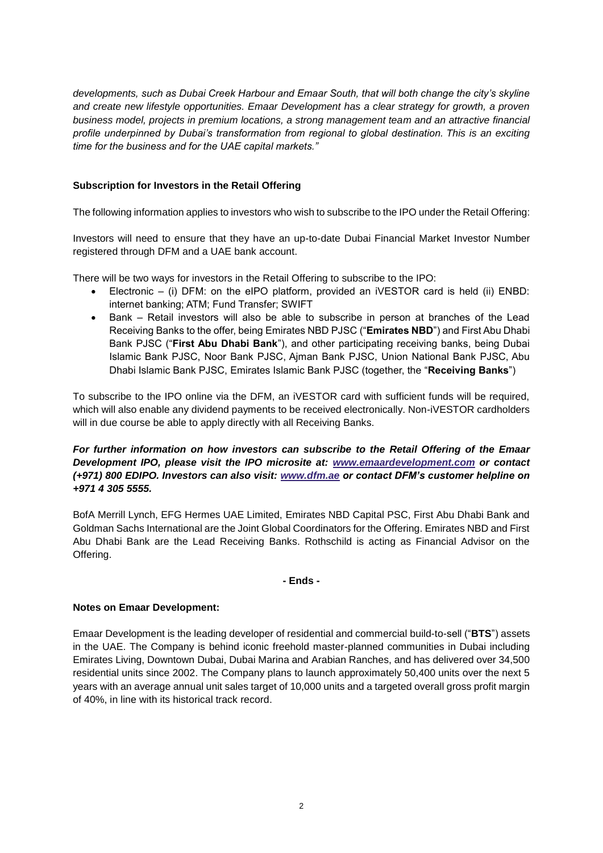*developments, such as Dubai Creek Harbour and Emaar South, that will both change the city's skyline and create new lifestyle opportunities. Emaar Development has a clear strategy for growth, a proven business model, projects in premium locations, a strong management team and an attractive financial profile underpinned by Dubai's transformation from regional to global destination. This is an exciting time for the business and for the UAE capital markets."*

### **Subscription for Investors in the Retail Offering**

The following information applies to investors who wish to subscribe to the IPO under the Retail Offering:

Investors will need to ensure that they have an up-to-date Dubai Financial Market Investor Number registered through DFM and a UAE bank account.

There will be two ways for investors in the Retail Offering to subscribe to the IPO:

- Electronic (i) DFM: on the eIPO platform, provided an iVESTOR card is held (ii) ENBD: internet banking; ATM; Fund Transfer; SWIFT
- Bank Retail investors will also be able to subscribe in person at branches of the Lead Receiving Banks to the offer, being Emirates NBD PJSC ("**Emirates NBD**") and First Abu Dhabi Bank PJSC ("**First Abu Dhabi Bank**"), and other participating receiving banks, being Dubai Islamic Bank PJSC, Noor Bank PJSC, Ajman Bank PJSC, Union National Bank PJSC, Abu Dhabi Islamic Bank PJSC, Emirates Islamic Bank PJSC (together, the "**Receiving Banks**")

To subscribe to the IPO online via the DFM, an iVESTOR card with sufficient funds will be required, which will also enable any dividend payments to be received electronically. Non-iVESTOR cardholders will in due course be able to apply directly with all Receiving Banks.

*For further information on how investors can subscribe to the Retail Offering of the Emaar Development IPO, please visit the IPO microsite at: [www.emaardevelopment.com](http://www.emaardevelopment.com/) or contact (+971) 800 EDIPO. Investors can also visit: [www.dfm.ae](http://www.dfm.ae/) or contact DFM's customer helpline on +971 4 305 5555.*

BofA Merrill Lynch, EFG Hermes UAE Limited, Emirates NBD Capital PSC, First Abu Dhabi Bank and Goldman Sachs International are the Joint Global Coordinators for the Offering. Emirates NBD and First Abu Dhabi Bank are the Lead Receiving Banks. Rothschild is acting as Financial Advisor on the Offering.

#### **- Ends -**

#### **Notes on Emaar Development:**

Emaar Development is the leading developer of residential and commercial build-to-sell ("**BTS**") assets in the UAE. The Company is behind iconic freehold master-planned communities in Dubai including Emirates Living, Downtown Dubai, Dubai Marina and Arabian Ranches, and has delivered over 34,500 residential units since 2002. The Company plans to launch approximately 50,400 units over the next 5 years with an average annual unit sales target of 10,000 units and a targeted overall gross profit margin of 40%, in line with its historical track record.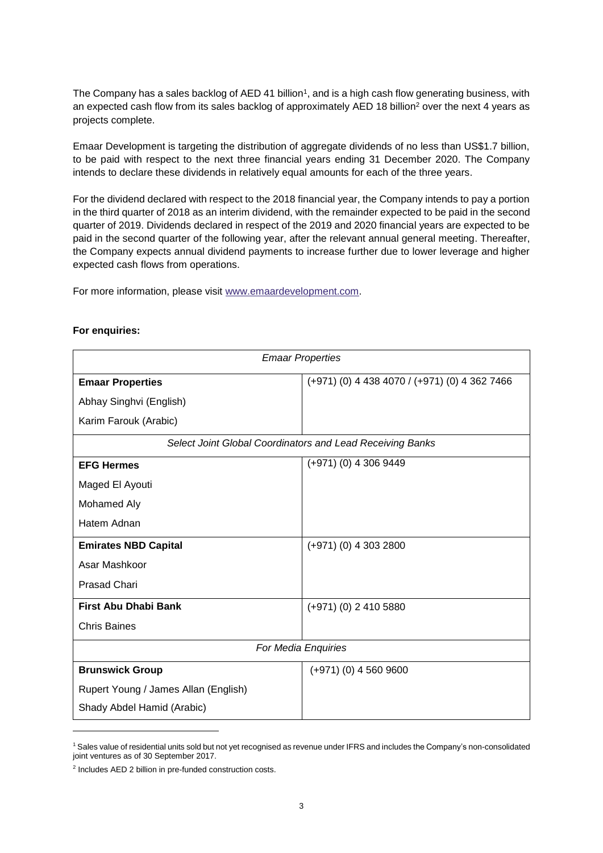The Company has a sales backlog of AED 41 billion<sup>1</sup>, and is a high cash flow generating business, with an expected cash flow from its sales backlog of approximately AED 18 billion<sup>2</sup> over the next 4 years as projects complete.

Emaar Development is targeting the distribution of aggregate dividends of no less than US\$1.7 billion, to be paid with respect to the next three financial years ending 31 December 2020. The Company intends to declare these dividends in relatively equal amounts for each of the three years.

For the dividend declared with respect to the 2018 financial year, the Company intends to pay a portion in the third quarter of 2018 as an interim dividend, with the remainder expected to be paid in the second quarter of 2019. Dividends declared in respect of the 2019 and 2020 financial years are expected to be paid in the second quarter of the following year, after the relevant annual general meeting. Thereafter, the Company expects annual dividend payments to increase further due to lower leverage and higher expected cash flows from operations.

For more information, please visit [www.emaardevelopment.com.](http://www.emaardevelopment.com/)

| <b>Emaar Properties</b>                                   |                                               |
|-----------------------------------------------------------|-----------------------------------------------|
| <b>Emaar Properties</b>                                   | (+971) (0) 4 438 4070 / (+971) (0) 4 362 7466 |
| Abhay Singhvi (English)                                   |                                               |
| Karim Farouk (Arabic)                                     |                                               |
| Select Joint Global Coordinators and Lead Receiving Banks |                                               |
| <b>EFG Hermes</b>                                         | $(+971)$ (0) 4 306 9449                       |
| Maged El Ayouti                                           |                                               |
| Mohamed Aly                                               |                                               |
| Hatem Adnan                                               |                                               |
| <b>Emirates NBD Capital</b>                               | $(+971)$ (0) 4 303 2800                       |
| Asar Mashkoor                                             |                                               |
| <b>Prasad Chari</b>                                       |                                               |
| <b>First Abu Dhabi Bank</b>                               | (+971) (0) 2 410 5880                         |
| <b>Chris Baines</b>                                       |                                               |
| For Media Enquiries                                       |                                               |
| <b>Brunswick Group</b>                                    | $(+971)$ (0) 4 560 9600                       |
| Rupert Young / James Allan (English)                      |                                               |
| Shady Abdel Hamid (Arabic)                                |                                               |

#### **For enquiries:**

-

<sup>1</sup> Sales value of residential units sold but not yet recognised as revenue under IFRS and includes the Company's non-consolidated joint ventures as of 30 September 2017.

<sup>2</sup> Includes AED 2 billion in pre-funded construction costs.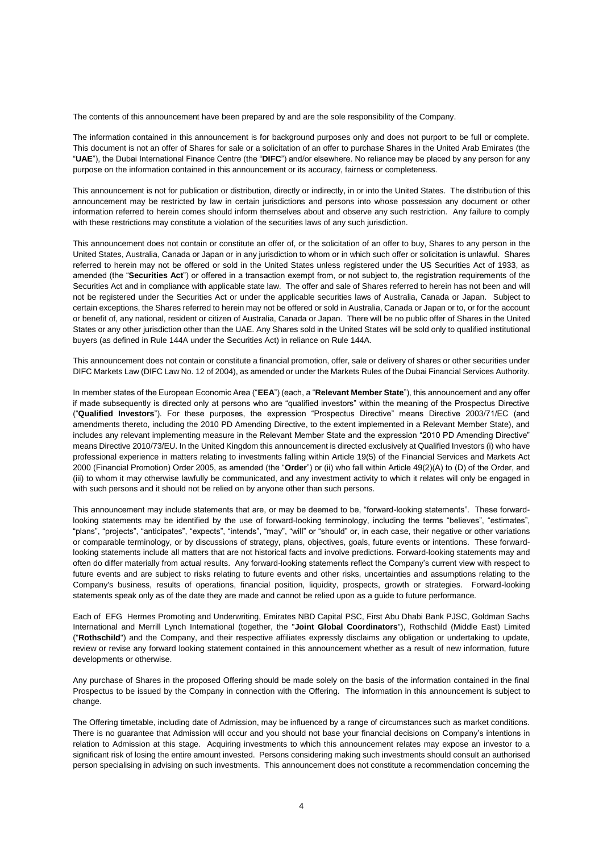The contents of this announcement have been prepared by and are the sole responsibility of the Company.

The information contained in this announcement is for background purposes only and does not purport to be full or complete. This document is not an offer of Shares for sale or a solicitation of an offer to purchase Shares in the United Arab Emirates (the "**UAE**"), the Dubai International Finance Centre (the "**DIFC**") and/or elsewhere. No reliance may be placed by any person for any purpose on the information contained in this announcement or its accuracy, fairness or completeness.

This announcement is not for publication or distribution, directly or indirectly, in or into the United States. The distribution of this announcement may be restricted by law in certain jurisdictions and persons into whose possession any document or other information referred to herein comes should inform themselves about and observe any such restriction. Any failure to comply with these restrictions may constitute a violation of the securities laws of any such jurisdiction.

This announcement does not contain or constitute an offer of, or the solicitation of an offer to buy, Shares to any person in the United States, Australia, Canada or Japan or in any jurisdiction to whom or in which such offer or solicitation is unlawful. Shares referred to herein may not be offered or sold in the United States unless registered under the US Securities Act of 1933, as amended (the "**Securities Act**") or offered in a transaction exempt from, or not subject to, the registration requirements of the Securities Act and in compliance with applicable state law. The offer and sale of Shares referred to herein has not been and will not be registered under the Securities Act or under the applicable securities laws of Australia, Canada or Japan. Subject to certain exceptions, the Shares referred to herein may not be offered or sold in Australia, Canada or Japan or to, or for the account or benefit of, any national, resident or citizen of Australia, Canada or Japan. There will be no public offer of Shares in the United States or any other jurisdiction other than the UAE. Any Shares sold in the United States will be sold only to qualified institutional buyers (as defined in Rule 144A under the Securities Act) in reliance on Rule 144A.

This announcement does not contain or constitute a financial promotion, offer, sale or delivery of shares or other securities under DIFC Markets Law (DIFC Law No. 12 of 2004), as amended or under the Markets Rules of the Dubai Financial Services Authority.

In member states of the European Economic Area ("**EEA**") (each, a "**Relevant Member State**"), this announcement and any offer if made subsequently is directed only at persons who are "qualified investors" within the meaning of the Prospectus Directive ("**Qualified Investors**"). For these purposes, the expression "Prospectus Directive" means Directive 2003/71/EC (and amendments thereto, including the 2010 PD Amending Directive, to the extent implemented in a Relevant Member State), and includes any relevant implementing measure in the Relevant Member State and the expression "2010 PD Amending Directive" means Directive 2010/73/EU. In the United Kingdom this announcement is directed exclusively at Qualified Investors (i) who have professional experience in matters relating to investments falling within Article 19(5) of the Financial Services and Markets Act 2000 (Financial Promotion) Order 2005, as amended (the "**Order**") or (ii) who fall within Article 49(2)(A) to (D) of the Order, and (iii) to whom it may otherwise lawfully be communicated, and any investment activity to which it relates will only be engaged in with such persons and it should not be relied on by anyone other than such persons.

This announcement may include statements that are, or may be deemed to be, "forward-looking statements". These forwardlooking statements may be identified by the use of forward-looking terminology, including the terms "believes", "estimates", "plans", "projects", "anticipates", "expects", "intends", "may", "will" or "should" or, in each case, their negative or other variations or comparable terminology, or by discussions of strategy, plans, objectives, goals, future events or intentions. These forwardlooking statements include all matters that are not historical facts and involve predictions. Forward-looking statements may and often do differ materially from actual results. Any forward-looking statements reflect the Company's current view with respect to future events and are subject to risks relating to future events and other risks, uncertainties and assumptions relating to the Company's business, results of operations, financial position, liquidity, prospects, growth or strategies. Forward-looking statements speak only as of the date they are made and cannot be relied upon as a guide to future performance.

Each of EFG Hermes Promoting and Underwriting, Emirates NBD Capital PSC, First Abu Dhabi Bank PJSC, Goldman Sachs International and Merrill Lynch International (together, the "**Joint Global Coordinators**"), Rothschild (Middle East) Limited ("**Rothschild**") and the Company, and their respective affiliates expressly disclaims any obligation or undertaking to update, review or revise any forward looking statement contained in this announcement whether as a result of new information, future developments or otherwise.

Any purchase of Shares in the proposed Offering should be made solely on the basis of the information contained in the final Prospectus to be issued by the Company in connection with the Offering. The information in this announcement is subject to change.

The Offering timetable, including date of Admission, may be influenced by a range of circumstances such as market conditions. There is no guarantee that Admission will occur and you should not base your financial decisions on Company's intentions in relation to Admission at this stage. Acquiring investments to which this announcement relates may expose an investor to a significant risk of losing the entire amount invested. Persons considering making such investments should consult an authorised person specialising in advising on such investments. This announcement does not constitute a recommendation concerning the